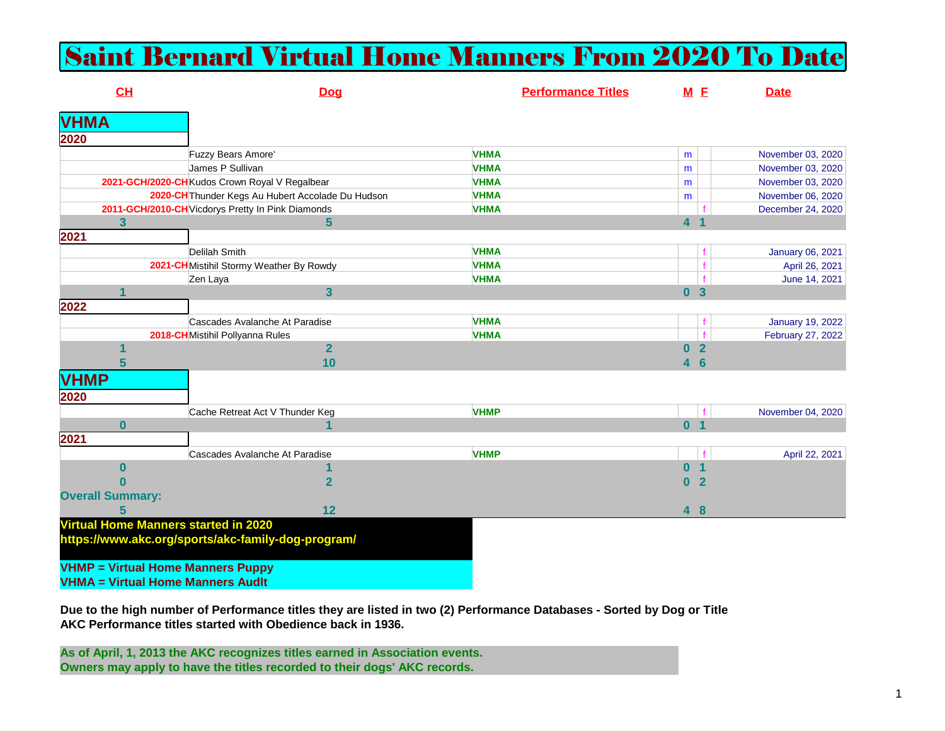## Saint Bernard Virtual Home Manners From 2020 To Date

| CH                                                | <b>Dog</b>                                         | <b>Performance Titles</b> | M E                     |                           | <b>Date</b>             |
|---------------------------------------------------|----------------------------------------------------|---------------------------|-------------------------|---------------------------|-------------------------|
| <b>VHMA</b>                                       |                                                    |                           |                         |                           |                         |
| 2020                                              |                                                    |                           |                         |                           |                         |
|                                                   | Fuzzy Bears Amore'                                 | <b>VHMA</b>               | m                       |                           | November 03, 2020       |
| James P Sullivan                                  |                                                    | <b>VHMA</b>               | m                       |                           | November 03, 2020       |
| 2021-GCH/2020-CH Kudos Crown Royal V Regalbear    |                                                    | <b>VHMA</b>               | m                       |                           | November 03, 2020       |
| 2020-CH Thunder Kegs Au Hubert Accolade Du Hudson |                                                    | <b>VHMA</b>               | m                       |                           | November 06, 2020       |
| 2011-GCH/2010-CH Vicdorys Pretty In Pink Diamonds |                                                    | <b>VHMA</b>               |                         |                           | December 24, 2020       |
| $\overline{\mathbf{3}}$                           | 5                                                  |                           | $\overline{\mathbf{4}}$ | $\overline{\mathbf{1}}$   |                         |
| 2021                                              |                                                    |                           |                         |                           |                         |
|                                                   | Delilah Smith                                      | <b>VHMA</b>               |                         |                           | January 06, 2021        |
| 2021-CH Mistihil Stormy Weather By Rowdy          |                                                    | <b>VHMA</b>               |                         |                           | April 26, 2021          |
| Zen Laya                                          |                                                    | <b>VHMA</b>               |                         |                           | June 14, 2021           |
|                                                   | $\overline{3}$                                     |                           | $\mathbf{0}$            | $\overline{3}$            |                         |
| 2022                                              |                                                    |                           |                         |                           |                         |
|                                                   | Cascades Avalanche At Paradise                     | <b>VHMA</b>               |                         |                           | <b>January 19, 2022</b> |
| 2018-CH Mistihil Pollyanna Rules                  |                                                    | <b>VHMA</b>               |                         | $\ddot{\mathbf{f}}$       | February 27, 2022       |
| 1                                                 | $\overline{2}$                                     |                           | $\bf{0}$                | $\overline{2}$            |                         |
| 5                                                 | 10                                                 |                           | 4                       | 6                         |                         |
| <b>VHMP</b>                                       |                                                    |                           |                         |                           |                         |
|                                                   |                                                    |                           |                         |                           |                         |
| 2020                                              |                                                    |                           |                         |                           |                         |
| 0                                                 | Cache Retreat Act V Thunder Keg                    | <b>VHMP</b>               | 0 <sub>1</sub>          |                           | November 04, 2020       |
|                                                   |                                                    |                           |                         |                           |                         |
| 2021                                              |                                                    |                           |                         |                           |                         |
|                                                   | Cascades Avalanche At Paradise                     | <b>VHMP</b>               |                         | f<br>$\blacktriangleleft$ | April 22, 2021          |
| O                                                 |                                                    |                           | 0                       |                           |                         |
|                                                   | $\mathbf{2}$                                       |                           | 0                       | $\overline{2}$            |                         |
| <b>Overall Summary:</b>                           |                                                    |                           |                         |                           |                         |
| 5                                                 | 12                                                 |                           | 4                       | 8                         |                         |
| <b>Virtual Home Manners started in 2020</b>       | https://www.akc.org/sports/akc-family-dog-program/ |                           |                         |                           |                         |

**VHMP = Virtual Home Manners PuppyVHMA = Virtual Home Manners Audlt**

**Due to the high number of Performance titles they are listed in two (2) Performance Databases - Sorted by Dog or TitleAKC Performance titles started with Obedience back in 1936.**

**As of April, 1, 2013 the AKC recognizes titles earned in Association events.Owners may apply to have the titles recorded to their dogs' AKC records.**